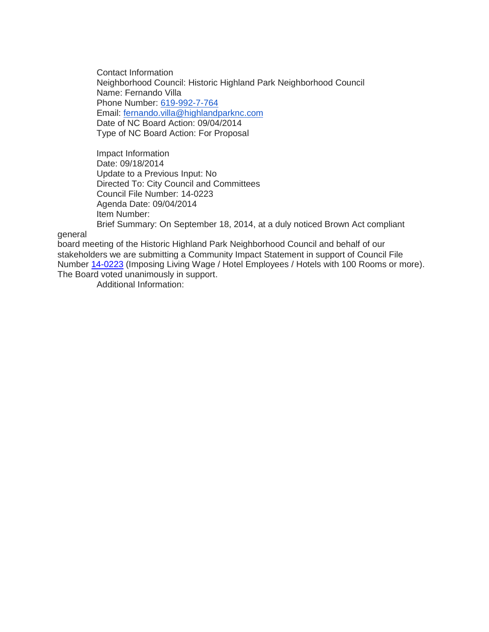Contact Information Neighborhood Council: Historic Highland Park Neighborhood Council Name: Fernando Villa Phone Number: [619-992-7-764](tel:619-992-7-764) Email: [fernando.villa@highlandparknc.com](mailto:fernando.villa@highlandparknc.com) Date of NC Board Action: 09/04/2014 Type of NC Board Action: For Proposal

Impact Information Date: 09/18/2014 Update to a Previous Input: No Directed To: City Council and Committees Council File Number: 14-0223 Agenda Date: 09/04/2014 Item Number: Brief Summary: On September 18, 2014, at a duly noticed Brown Act compliant

general

board meeting of the Historic Highland Park Neighborhood Council and behalf of our stakeholders we are submitting a Community Impact Statement in support of Council File Number [14-0223](http://cityclerk.lacity.org/lacityclerkconnect/index.cfm?fa=ccfi.viewrecord&cfnumber=14-0223) (Imposing Living Wage / Hotel Employees / Hotels with 100 Rooms or more). The Board voted unanimously in support.

Additional Information: